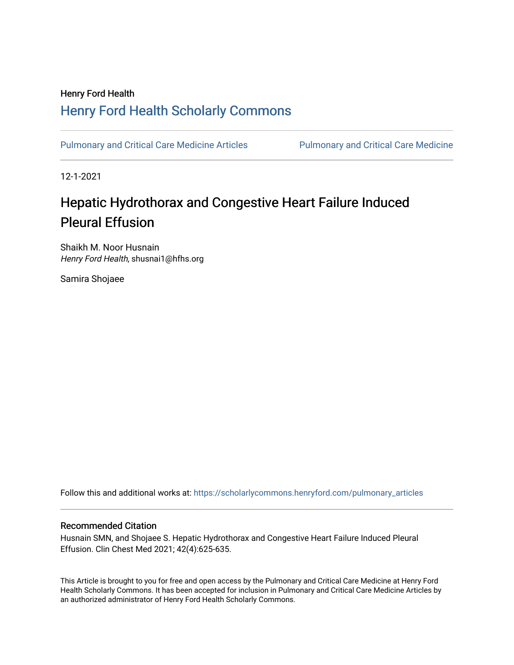### Henry Ford Health [Henry Ford Health Scholarly Commons](https://scholarlycommons.henryford.com/)

[Pulmonary and Critical Care Medicine Articles](https://scholarlycommons.henryford.com/pulmonary_articles) Pulmonary and Critical Care Medicine

12-1-2021

## Hepatic Hydrothorax and Congestive Heart Failure Induced Pleural Effusion

Shaikh M. Noor Husnain Henry Ford Health, shusnai1@hfhs.org

Samira Shojaee

Follow this and additional works at: [https://scholarlycommons.henryford.com/pulmonary\\_articles](https://scholarlycommons.henryford.com/pulmonary_articles?utm_source=scholarlycommons.henryford.com%2Fpulmonary_articles%2F135&utm_medium=PDF&utm_campaign=PDFCoverPages)

#### Recommended Citation

Husnain SMN, and Shojaee S. Hepatic Hydrothorax and Congestive Heart Failure Induced Pleural Effusion. Clin Chest Med 2021; 42(4):625-635.

This Article is brought to you for free and open access by the Pulmonary and Critical Care Medicine at Henry Ford Health Scholarly Commons. It has been accepted for inclusion in Pulmonary and Critical Care Medicine Articles by an authorized administrator of Henry Ford Health Scholarly Commons.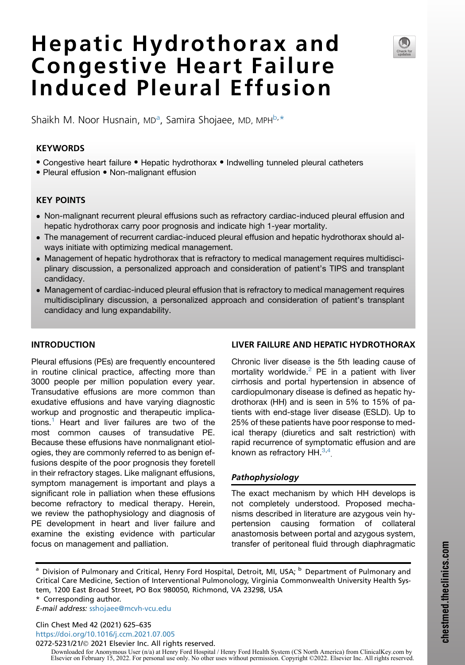# Hepatic Hydrothorax and Congestive Heart Failure Induced Pleural Effusion

Sh[a](#page-1-0)ikh M. Noor Husnain, MD<sup>a</sup>, Samira Shojaee, MD, MPH<sup>[b](#page-1-0),[\\*](#page-1-1)</sup>

#### KEYWORDS

- Congestive heart failure Hepatic hydrothorax Indwelling tunneled pleural catheters
- Pleural effusion Non-malignant effusion

#### KEY POINTS

- Non-malignant recurrent pleural effusions such as refractory cardiac-induced pleural effusion and hepatic hydrothorax carry poor prognosis and indicate high 1-year mortality.
- The management of recurrent cardiac-induced pleural effusion and hepatic hydrothorax should always initiate with optimizing medical management.
- Management of hepatic hydrothorax that is refractory to medical management requires multidisciplinary discussion, a personalized approach and consideration of patient's TIPS and transplant candidacy.
- Management of cardiac-induced pleural effusion that is refractory to medical management requires multidisciplinary discussion, a personalized approach and consideration of patient's transplant candidacy and lung expandability.

#### INTRODUCTION

Pleural effusions (PEs) are frequently encountered in routine clinical practice, affecting more than 3000 people per million population every year. Transudative effusions are more common than exudative effusions and have varying diagnostic workup and prognostic and therapeutic implica-tions.<sup>[1](#page-8-0)</sup> Heart and liver failures are two of the most common causes of transudative PE. Because these effusions have nonmalignant etiologies, they are commonly referred to as benign effusions despite of the poor prognosis they foretell in their refractory stages. Like malignant effusions, symptom management is important and plays a significant role in palliation when these effusions become refractory to medical therapy. Herein, we review the pathophysiology and diagnosis of PE development in heart and liver failure and examine the existing evidence with particular focus on management and palliation.

#### LIVER FAILURE AND HEPATIC HYDROTHORAX

Chronic liver disease is the 5th leading cause of mortality worldwide. $2$  PE in a patient with liver cirrhosis and portal hypertension in absence of cardiopulmonary disease is defined as hepatic hydrothorax (HH) and is seen in 5% to 15% of patients with end-stage liver disease (ESLD). Up to 25% of these patients have poor response to medical therapy (diuretics and salt restriction) with rapid recurrence of symptomatic effusion and are known as refractory HH. $^{3,4}$  $^{3,4}$  $^{3,4}$  $^{3,4}$ 

#### Pathophysiology

The exact mechanism by which HH develops is not completely understood. Proposed mechanisms described in literature are azygous vein hypertension causing formation of collateral anastomosis between portal and azygous system, transfer of peritoneal fluid through diaphragmatic

<span id="page-1-1"></span>\* Corresponding author.

E-mail address: [sshojaee@mcvh-vcu.edu](mailto:sshojaee@mcvh-vcu.edu)

Clin Chest Med 42 (2021) 625–635 <https://doi.org/10.1016/j.ccm.2021.07.005>

0272-5231/21/© 2021 Elsevier Inc. All rights reserved.

Downloaded for Anonymous User (n/a) at Henry Ford Hospital / Henry Ford Health System (CS North America) from ClinicalKey.com by Elsevier on February 15, 2022. For personal use only. No other uses without permission. Copyright ©2022. Elsevier Inc. All rights reserved.



<span id="page-1-0"></span><sup>&</sup>lt;sup>a</sup> Division of Pulmonary and Critical, Henry Ford Hospital, Detroit, MI, USA; <sup>b</sup> Department of Pulmonary and Critical Care Medicine, Section of Interventional Pulmonology, Virginia Commonwealth University Health System, 1200 East Broad Street, PO Box 980050, Richmond, VA 23298, USA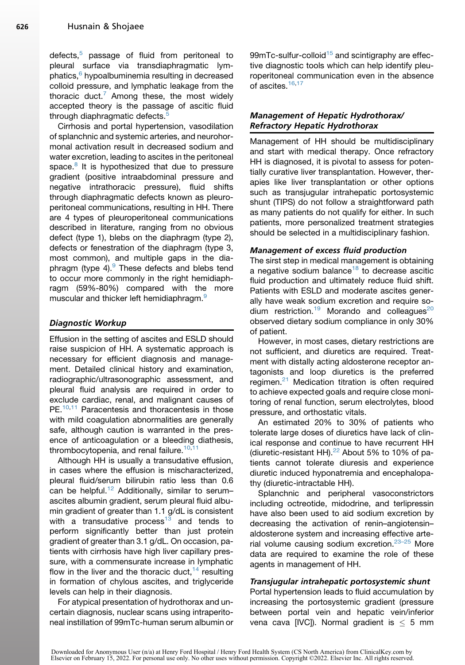defects,<sup>[5](#page-8-4)</sup> passage of fluid from peritoneal to pleural surface via transdiaphragmatic lym-phatics,<sup>[6](#page-8-5)</sup> hypoalbuminemia resulting in decreased colloid pressure, and lymphatic leakage from the thoracic duct.<sup>[7](#page-8-6)</sup> Among these, the most widely accepted theory is the passage of ascitic fluid through diaphragmatic defects.<sup>[5](#page-8-4)</sup>

Cirrhosis and portal hypertension, vasodilation of splanchnic and systemic arteries, and neurohormonal activation result in decreased sodium and water excretion, leading to ascites in the peritoneal space.<sup>[8](#page-8-7)</sup> It is hypothesized that due to pressure gradient (positive intraabdominal pressure and negative intrathoracic pressure), fluid shifts through diaphragmatic defects known as pleuroperitoneal communications, resulting in HH. There are 4 types of pleuroperitoneal communications described in literature, ranging from no obvious defect (type 1), blebs on the diaphragm (type 2), defects or fenestration of the diaphragm (type 3, most common), and multiple gaps in the diaphragm (type 4). $9$  These defects and blebs tend to occur more commonly in the right hemidiaphragm (59%-80%) compared with the more muscular and thicker left hemidiaphragm.<sup>[9](#page-9-0)</sup>

#### Diagnostic Workup

Effusion in the setting of ascites and ESLD should raise suspicion of HH. A systematic approach is necessary for efficient diagnosis and management. Detailed clinical history and examination, radiographic/ultrasonographic assessment, and pleural fluid analysis are required in order to exclude cardiac, renal, and malignant causes of PE.<sup>[10,](#page-9-1)[11](#page-9-2)</sup> Paracentesis and thoracentesis in those with mild coagulation abnormalities are generally safe, although caution is warranted in the presence of anticoagulation or a bleeding diathesis, thrombocytopenia, and renal failure.<sup>[10](#page-9-1)[,11](#page-9-2)</sup>

Although HH is usually a transudative effusion, in cases where the effusion is mischaracterized, pleural fluid/serum bilirubin ratio less than 0.6 can be helpful.<sup>[12](#page-9-3)</sup> Additionally, similar to serumascites albumin gradient, serum pleural fluid albumin gradient of greater than 1.1 g/dL is consistent with a transudative process<sup>[13](#page-9-4)</sup> and tends to perform significantly better than just protein gradient of greater than 3.1 g/dL. On occasion, patients with cirrhosis have high liver capillary pressure, with a commensurate increase in lymphatic flow in the liver and the thoracic duct,  $14$  resulting in formation of chylous ascites, and triglyceride levels can help in their diagnosis.

For atypical presentation of hydrothorax and uncertain diagnosis, nuclear scans using intraperitoneal instillation of 99mTc-human serum albumin or

99 $m$ Tc-sulfur-colloid<sup>[15](#page-9-6)</sup> and scintigraphy are effective diagnostic tools which can help identify pleuroperitoneal communication even in the absence of ascites.<sup>[16](#page-9-7)[,17](#page-9-8)</sup>

#### Management of Hepatic Hydrothorax/ Refractory Hepatic Hydrothorax

Management of HH should be multidisciplinary and start with medical therapy. Once refractory HH is diagnosed, it is pivotal to assess for potentially curative liver transplantation. However, therapies like liver transplantation or other options such as transjugular intrahepatic portosystemic shunt (TIPS) do not follow a straightforward path as many patients do not qualify for either. In such patients, more personalized treatment strategies should be selected in a multidisciplinary fashion.

#### Management of excess fluid production

The sirst step in medical management is obtaining a negative sodium balance $18$  to decrease ascitic fluid production and ultimately reduce fluid shift. Patients with ESLD and moderate ascites generally have weak sodium excretion and require so-dium restriction.<sup>[19](#page-9-10)</sup> Morando and colleagues<sup>[20](#page-9-11)</sup> observed dietary sodium compliance in only 30% of patient.

However, in most cases, dietary restrictions are not sufficient, and diuretics are required. Treatment with distally acting aldosterone receptor antagonists and loop diuretics is the preferred regimen. $21$  Medication titration is often required to achieve expected goals and require close monitoring of renal function, serum electrolytes, blood pressure, and orthostatic vitals.

An estimated 20% to 30% of patients who tolerate large doses of diuretics have lack of clinical response and continue to have recurrent HH (diuretic-resistant HH). $^{22}$  $^{22}$  $^{22}$  About 5% to 10% of patients cannot tolerate diuresis and experience diuretic induced hyponatremia and encephalopathy (diuretic-intractable HH).

Splanchnic and peripheral vasoconstrictors including octreotide, midodrine, and terlipressin have also been used to aid sodium excretion by decreasing the activation of renin–angiotensin– aldosterone system and increasing effective arterial volume causing sodium excretion. $23-25$  More data are required to examine the role of these agents in management of HH.

#### Transjugular intrahepatic portosystemic shunt

Portal hypertension leads to fluid accumulation by increasing the portosystemic gradient (pressure between portal vein and hepatic vein/inferior vena cava [IVC]). Normal gradient is  $\leq$  5 mm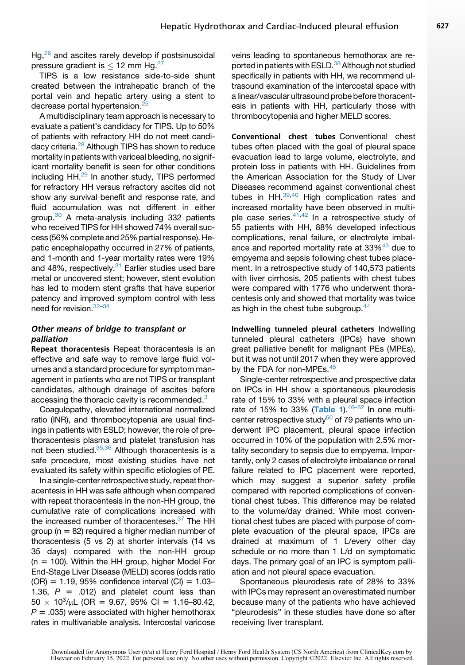Hg,<sup>[26](#page-9-15)</sup> and ascites rarely develop if postsinusoidal pressure gradient is  $<$  12 mm Hg.<sup>[27](#page-9-16)</sup>

TIPS is a low resistance side-to-side shunt created between the intrahepatic branch of the portal vein and hepatic artery using a stent to decrease portal hypertension.<sup>[25](#page-9-17)</sup>

A multidisciplinary team approach is necessary to evaluate a patient's candidacy for TIPS. Up to 50% of patients with refractory HH do not meet candidacy criteria.<sup>28</sup> Although TIPS has shown to reduce mortality in patients with variceal bleeding, no significant mortality benefit is seen for other conditions including HH.<sup>[29](#page-9-19)</sup> In another study, TIPS performed for refractory HH versus refractory ascites did not show any survival benefit and response rate, and fluid accumulation was not different in either group.<sup>30</sup> A meta-analysis including 332 patients who received TIPS for HH showed 74% overall success (56% complete and 25% partial response). Hepatic encephalopathy occurred in 27% of patients, and 1-month and 1-year mortality rates were 19% and 48%, respectively. $31$  Earlier studies used bare metal or uncovered stent; however, stent evolution has led to modern stent grafts that have superior patency and improved symptom control with less need for revision. 32-34

#### Other means of bridge to transplant or palliation

Repeat thoracentesis Repeat thoracentesis is an effective and safe way to remove large fluid volumes and a standard procedure for symptom management in patients who are not TIPS or transplant candidates, although drainage of ascites before accessing the thoracic cavity is recommended.<sup>[3](#page-8-2)</sup>

Coagulopathy, elevated international normalized ratio (INR), and thrombocytopenia are usual findings in patients with ESLD; however, the role of prethoracentesis plasma and platelet transfusion has not been studied.<sup>35[,36](#page-9-24)</sup> Although thoracentesis is a safe procedure, most existing studies have not evaluated its safety within specific etiologies of PE.

In a single-center retrospective study, repeat thoracentesis in HH was safe although when compared with repeat thoracentesis in the non-HH group, the cumulative rate of complications increased with the increased number of thoracenteses.<sup>37</sup> The HH group ( $n = 82$ ) required a higher median number of thoracentesis (5 vs 2) at shorter intervals (14 vs 35 days) compared with the non-HH group  $(n = 100)$ . Within the HH group, higher Model For End-Stage Liver Disease (MELD) scores (odds ratio  $(OR) = 1.19$ , 95% confidence interval  $(Cl) = 1.03-$ 1.36,  $P = .012$ ) and platelet count less than  $50 \times 10^3/\mu$ L (OR = 9.67, 95% CI = 1.16–80.42,  $P = .035$ ) were associated with higher hemothorax rates in multivariable analysis. Intercostal varicose

veins leading to spontaneous hemothorax are re-ported in patients with ESLD.<sup>[38](#page-9-26)</sup> Although not studied specifically in patients with HH, we recommend ultrasound examination of the intercostal space with a linear/vascular ultrasound probe before thoracentesis in patients with HH, particularly those with thrombocytopenia and higher MELD scores.

Conventional chest tubes Conventional chest tubes often placed with the goal of pleural space evacuation lead to large volume, electrolyte, and protein loss in patients with HH. Guidelines from the American Association for the Study of Liver Diseases recommend against conventional chest tubes in HH.<sup>[39](#page-9-27)[,40](#page-10-0)</sup> High complication rates and increased mortality have been observed in multi-ple case series.<sup>[41,](#page-10-1)[42](#page-10-2)</sup> In a retrospective study of 55 patients with HH, 88% developed infectious complications, renal failure, or electrolyte imbal-ance and reported mortality rate at 33%<sup>[43](#page-10-3)</sup> due to empyema and sepsis following chest tubes placement. In a retrospective study of 140,573 patients with liver cirrhosis, 205 patients with chest tubes were compared with 1776 who underwent thoracentesis only and showed that mortality was twice as high in the chest tube subgroup.<sup>[44](#page-10-4)</sup>

Indwelling tunneled pleural catheters Indwelling tunneled pleural catheters (IPCs) have shown great palliative benefit for malignant PEs (MPEs), but it was not until 2017 when they were approved by the FDA for non-MPEs.<sup>[45](#page-10-5)</sup>

Single-center retrospective and prospective data on IPCs in HH show a spontaneous pleurodesis rate of 15% to 33% with a pleural space infection rate of 15% to 33% ([Table 1](#page-4-0)). $46-52$  In one multicenter retrospective study<sup>50</sup> of 79 patients who underwent IPC placement, pleural space infection occurred in 10% of the population with 2.5% mortality secondary to sepsis due to empyema. Importantly, only 2 cases of electrolyte imbalance or renal failure related to IPC placement were reported, which may suggest a superior safety profile compared with reported complications of conventional chest tubes. This difference may be related to the volume/day drained. While most conventional chest tubes are placed with purpose of complete evacuation of the pleural space, IPCs are drained at maximum of 1 L/every other day schedule or no more than 1 L/d on symptomatic days. The primary goal of an IPC is symptom palliation and not pleural space evacuation.

Spontaneous pleurodesis rate of 28% to 33% with IPCs may represent an overestimated number because many of the patients who have achieved "pleurodesis" in these studies have done so after receiving liver transplant.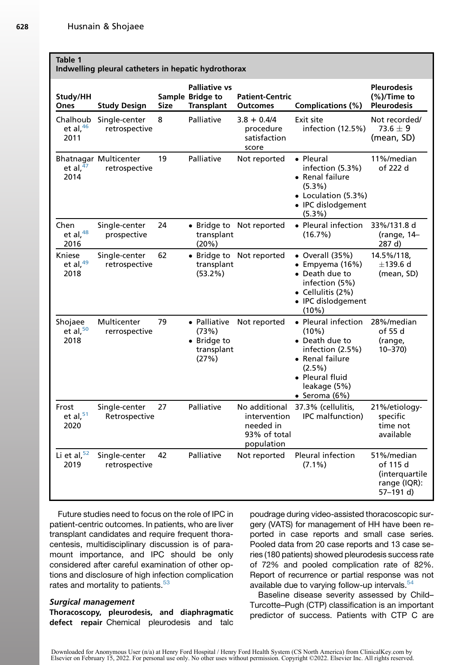#### <span id="page-4-0"></span>Table 1

|  |  | Indwelling pleural catheters in hepatic hydrothorax |
|--|--|-----------------------------------------------------|
|--|--|-----------------------------------------------------|

| Study/HH<br>Ones                | <b>Study Design</b>                           | Size | <b>Palliative vs</b><br>Sample Bridge to<br><b>Transplant</b> | <b>Patient-Centric</b><br><b>Outcomes</b>                                | <b>Complications (%)</b>                                                                                                                                    | <b>Pleurodesis</b><br>$(\%)$ /Time to<br><b>Pleurodesis</b>           |
|---------------------------------|-----------------------------------------------|------|---------------------------------------------------------------|--------------------------------------------------------------------------|-------------------------------------------------------------------------------------------------------------------------------------------------------------|-----------------------------------------------------------------------|
| Chalhoub<br>et al, $46$<br>2011 | Single-center<br>retrospective                | 8    | Palliative                                                    | $3.8 + 0.4/4$<br>procedure<br>satisfaction<br>score                      | Exit site<br>infection (12.5%)                                                                                                                              | Not recorded/<br>73.6 $\pm$ 9 $\,$<br>(mean, SD)                      |
| et al, $\overline{47}$<br>2014  | <b>Bhatnagar Multicenter</b><br>retrospective | 19   | Palliative                                                    | Not reported                                                             | • Pleural<br>infection (5.3%)<br>• Renal failure<br>$(5.3\%)$<br>• Loculation (5.3%)<br>• IPC dislodgement<br>$(5.3\%)$                                     | 11%/median<br>of 222 d                                                |
| Chen<br>et al, $48$<br>2016     | Single-center<br>prospective                  | 24   | • Bridge to<br>transplant<br>(20%)                            | Not reported                                                             | • Pleural infection<br>(16.7%)                                                                                                                              | 33%/131.8 d<br>(range, 14-<br>287 d)                                  |
| Kniese<br>et al, 49<br>2018     | Single-center<br>retrospective                | 62   | transplant<br>$(53.2\%)$                                      | • Bridge to Not reported                                                 | $\bullet$ Overall (35%)<br>• Empyema $(16%)$<br>• Death due to<br>infection (5%)<br>• Cellulitis $(2%)$<br>• IPC dislodgement<br>(10%)                      | 14.5%/118,<br>$\pm$ 139.6 d<br>(mean, SD)                             |
| Shojaee<br>et al, $50$<br>2018  | Multicenter<br>rerrospective                  | 79   | • Palliative<br>(73%)<br>• Bridge to<br>transplant<br>(27%)   | Not reported                                                             | • Pleural infection<br>$(10\%)$<br>• Death due to<br>infection (2.5%)<br>• Renal failure<br>$(2.5\%)$<br>• Pleural fluid<br>leakage (5%)<br>• Seroma $(6%)$ | 28%/median<br>of 55 d<br>(range,<br>10-370)                           |
| Frost<br>et al, $51$<br>2020    | Single-center<br>Retrospective                | 27   | Palliative                                                    | No additional<br>intervention<br>needed in<br>93% of total<br>population | 37.3% (cellulitis,<br>IPC malfunction)                                                                                                                      | 21%/etiology-<br>specific<br>time not<br>available                    |
| Li et al, $52$<br>2019          | Single-center<br>retrospective                | 42   | Palliative                                                    | Not reported                                                             | Pleural infection<br>$(7.1\%)$                                                                                                                              | 51%/median<br>of 115 d<br>(interquartile<br>range (IQR):<br>57-191 d) |

Future studies need to focus on the role of IPC in patient-centric outcomes. In patients, who are liver transplant candidates and require frequent thoracentesis, multidisciplinary discussion is of paramount importance, and IPC should be only considered after careful examination of other options and disclosure of high infection complication rates and mortality to patients.<sup>[53](#page-10-8)</sup>

#### Surgical management

Thoracoscopy, pleurodesis, and diaphragmatic defect repair Chemical pleurodesis and talc poudrage during video-assisted thoracoscopic surgery (VATS) for management of HH have been reported in case reports and small case series. Pooled data from 20 case reports and 13 case series (180 patients) showed pleurodesis success rate of 72% and pooled complication rate of 82%. Report of recurrence or partial response was not available due to varying follow-up intervals. $54$ 

Baseline disease severity assessed by Child– Turcotte–Pugh (CTP) classification is an important predictor of success. Patients with CTP C are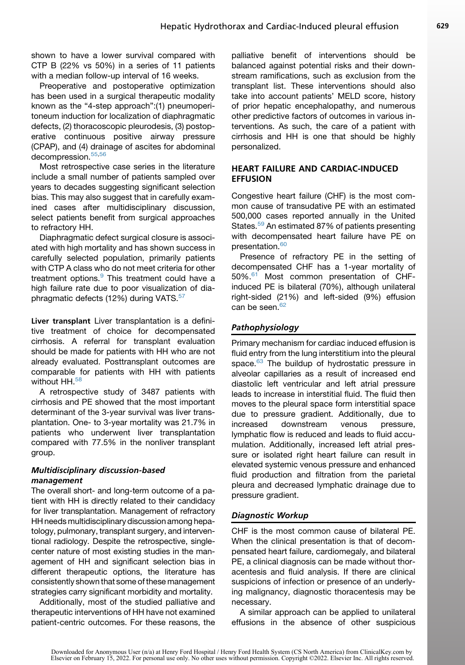shown to have a lower survival compared with CTP B (22% vs 50%) in a series of 11 patients with a median follow-up interval of 16 weeks.

Preoperative and postoperative optimization has been used in a surgical therapeutic modality known as the "4-step approach":(1) pneumoperitoneum induction for localization of diaphragmatic defects, (2) thoracoscopic pleurodesis, (3) postoperative continuous positive airway pressure (CPAP), and (4) drainage of ascites for abdominal decompression.<sup>[55,](#page-10-15)[56](#page-10-16)</sup>

Most retrospective case series in the literature include a small number of patients sampled over years to decades suggesting significant selection bias. This may also suggest that in carefully examined cases after multidisciplinary discussion, select patients benefit from surgical approaches to refractory HH.

Diaphragmatic defect surgical closure is associated with high mortality and has shown success in carefully selected population, primarily patients with CTP A class who do not meet criteria for other treatment options.<sup>[9](#page-9-0)</sup> This treatment could have a high failure rate due to poor visualization of dia-phragmatic defects (12%) during VATS.<sup>[57](#page-10-17)</sup>

Liver transplant Liver transplantation is a definitive treatment of choice for decompensated cirrhosis. A referral for transplant evaluation should be made for patients with HH who are not already evaluated. Posttransplant outcomes are comparable for patients with HH with patients without HH.<sup>[58](#page-10-18)</sup>

A retrospective study of 3487 patients with cirrhosis and PE showed that the most important determinant of the 3-year survival was liver transplantation. One- to 3-year mortality was 21.7% in patients who underwent liver transplantation compared with 77.5% in the nonliver transplant group.

#### Multidisciplinary discussion-based management

The overall short- and long-term outcome of a patient with HH is directly related to their candidacy for liver transplantation. Management of refractory HH needs multidisciplinary discussion among hepatology, pulmonary, transplant surgery, and interventional radiology. Despite the retrospective, singlecenter nature of most existing studies in the management of HH and significant selection bias in different therapeutic options, the literature has consistently shown that some of these management strategies carry significant morbidity and mortality.

Additionally, most of the studied palliative and therapeutic interventions of HH have not examined patient-centric outcomes. For these reasons, the palliative benefit of interventions should be balanced against potential risks and their downstream ramifications, such as exclusion from the transplant list. These interventions should also take into account patients' MELD score, history of prior hepatic encephalopathy, and numerous other predictive factors of outcomes in various interventions. As such, the care of a patient with cirrhosis and HH is one that should be highly personalized.

#### HEART FAILURE AND CARDIAC-INDUCED EFFUSION

Congestive heart failure (CHF) is the most common cause of transudative PE with an estimated 500,000 cases reported annually in the United States.<sup>[59](#page-10-19)</sup> An estimated 87% of patients presenting with decompensated heart failure have PE on presentation.<sup>[60](#page-10-20)</sup>

Presence of refractory PE in the setting of decompensated CHF has a 1-year mortality of 50%.<sup>[61](#page-10-21)</sup> Most common presentation of CHFinduced PE is bilateral (70%), although unilateral right-sided (21%) and left-sided (9%) effusion can be seen. $62$ 

#### Pathophysiology

Primary mechanism for cardiac induced effusion is fluid entry from the lung interstitium into the pleural space.<sup>[63](#page-10-23)</sup> The buildup of hydrostatic pressure in alveolar capillaries as a result of increased end diastolic left ventricular and left atrial pressure leads to increase in interstitial fluid. The fluid then moves to the pleural space form interstitial space due to pressure gradient. Additionally, due to increased downstream venous pressure, lymphatic flow is reduced and leads to fluid accumulation. Additionally, increased left atrial pressure or isolated right heart failure can result in elevated systemic venous pressure and enhanced fluid production and filtration from the parietal pleura and decreased lymphatic drainage due to pressure gradient.

#### Diagnostic Workup

CHF is the most common cause of bilateral PE. When the clinical presentation is that of decompensated heart failure, cardiomegaly, and bilateral PE, a clinical diagnosis can be made without thoracentesis and fluid analysis. If there are clinical suspicions of infection or presence of an underlying malignancy, diagnostic thoracentesis may be necessary.

A similar approach can be applied to unilateral effusions in the absence of other suspicious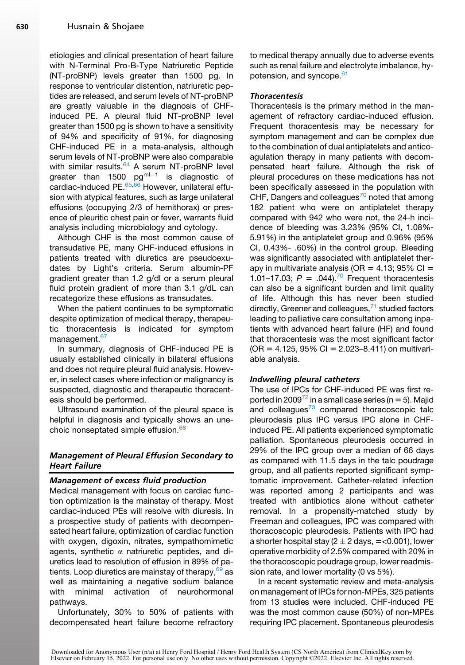etiologies and clinical presentation of heart failure with N-Terminal Pro-B-Type Natriuretic Peptide (NT-proBNP) levels greater than 1500 pg. In response to ventricular distention, natriuretic peptides are released, and serum levels of NT-proBNP are greatly valuable in the diagnosis of CHFinduced PE. A pleural fluid NT-proBNP level greater than 1500 pg is shown to have a sensitivity of 94% and specificity of 91%, for diagnosing CHF-induced PE in a meta-analysis, although serum levels of NT-proBNP were also comparable with similar results.<sup>[64](#page-10-24)</sup> A serum NT-proBNP level greater than 1500  $pg^{ml-1}$  is diagnostic of cardiac-induced PE.<sup>[65,](#page-10-25)[66](#page-10-26)</sup> However, unilateral effusion with atypical features, such as large unilateral effusions (occupying 2/3 of hemithorax) or presence of pleuritic chest pain or fever, warrants fluid analysis including microbiology and cytology.

Although CHF is the most common cause of transudative PE, many CHF-induced effusions in patients treated with diuretics are pseudoexudates by Light's criteria. Serum albumin-PF gradient greater than 1.2 g/dl or a serum pleural fluid protein gradient of more than 3.1 g/dL can recategorize these effusions as transudates.

When the patient continues to be symptomatic despite optimization of medical therapy, therapeutic thoracentesis is indicated for symptom management.<sup>[67](#page-10-27)</sup>

In summary, diagnosis of CHF-induced PE is usually established clinically in bilateral effusions and does not require pleural fluid analysis. However, in select cases where infection or malignancy is suspected, diagnostic and therapeutic thoracentesis should be performed.

Ultrasound examination of the pleural space is helpful in diagnosis and typically shows an unechoic nonseptated simple effusion.[68](#page-10-28)

#### Management of Pleural Effusion Secondary to Heart Failure

#### Management of excess fluid production

Medical management with focus on cardiac function optimization is the mainstay of therapy. Most cardiac-induced PEs will resolve with diuresis. In a prospective study of patients with decompensated heart failure, optimization of cardiac function with oxygen, digoxin, nitrates, sympathomimetic agents, synthetic  $\alpha$  natriuretic peptides, and diuretics lead to resolution of effusion in 89% of patients. Loop diuretics are mainstay of therapy,  $69$  as well as maintaining a negative sodium balance with minimal activation of neurohormonal pathways.

Unfortunately, 30% to 50% of patients with decompensated heart failure become refractory to medical therapy annually due to adverse events such as renal failure and electrolyte imbalance, hypotension, and syncope.<sup>61</sup>

#### **Thoracentesis**

Thoracentesis is the primary method in the management of refractory cardiac-induced effusion. Frequent thoracentesis may be necessary for symptom management and can be complex due to the combination of dual antiplatelets and anticoagulation therapy in many patients with decompensated heart failure. Although the risk of pleural procedures on these medications has not been specifically assessed in the population with CHF, Dangers and colleagues<sup>[70](#page-11-1)</sup> noted that among 182 patient who were on antiplatelet therapy compared with 942 who were not, the 24-h incidence of bleeding was 3.23% (95% CI, 1.08%- 5.91%) in the antiplatelet group and 0.96% (95% CI, 0.43%- .60%) in the control group. Bleeding was significantly associated with antiplatelet therapy in multivariate analysis (OR =  $4.13$ ; 95% CI = 1.01–17.03;  $P = .044$ ).<sup>[70](#page-11-1)</sup> Frequent thoracentesis can also be a significant burden and limit quality of life. Although this has never been studied directly, Greener and colleagues,  $71$  studied factors leading to palliative care consultation among inpatients with advanced heart failure (HF) and found that thoracentesis was the most significant factor  $(OR = 4.125, 95\% CI = 2.023–8.411)$  on multivariable analysis.

#### Indwelling pleural catheters

The use of IPCs for CHF-induced PE was first re-ported in 2009<sup>[72](#page-11-3)</sup> in a small case series ( $n = 5$ ). Majid and colleagues $73$  compared thoracoscopic talc pleurodesis plus IPC versus IPC alone in CHFinduced PE. All patients experienced symptomatic palliation. Spontaneous pleurodesis occurred in 29% of the IPC group over a median of 66 days as compared with 11.5 days in the talc poudrage group, and all patients reported significant symptomatic improvement. Catheter-related infection was reported among 2 participants and was treated with antibiotics alone without catheter removal. In a propensity-matched study by Freeman and colleagues, IPC was compared with thoracoscopic pleurodesis. Patients with IPC had a shorter hospital stay ( $2 \pm 2$  days, = <0.001), lower operative morbidity of 2.5% compared with 20% in the thoracoscopic poudrage group, lower readmission rate, and lower mortality (0 vs 5%).

In a recent systematic review and meta-analysis on management of IPCs for non-MPEs, 325 patients from 13 studies were included. CHF-induced PE was the most common cause (50%) of non-MPEs requiring IPC placement. Spontaneous pleurodesis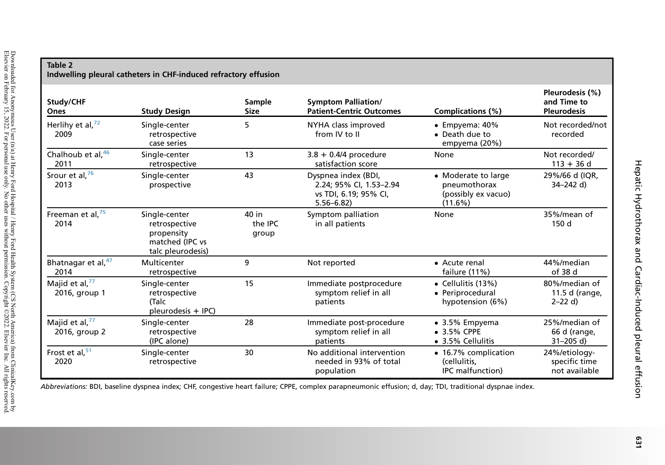<span id="page-7-0"></span>

| Table 2<br>Indwelling pleural catheters in CHF-induced refractory effusion |                                                                                      |                           |                                                                                          |                                                                       |                                                      |  |  |  |
|----------------------------------------------------------------------------|--------------------------------------------------------------------------------------|---------------------------|------------------------------------------------------------------------------------------|-----------------------------------------------------------------------|------------------------------------------------------|--|--|--|
| Study/CHF<br>Ones                                                          | <b>Study Design</b>                                                                  | Sample<br><b>Size</b>     | <b>Symptom Palliation/</b><br><b>Patient-Centric Outcomes</b>                            | Complications (%)                                                     | Pleurodesis (%)<br>and Time to<br><b>Pleurodesis</b> |  |  |  |
| Herlihy et al, $^{72}$<br>2009                                             | Single-center<br>retrospective<br>case series                                        | 5                         | NYHA class improved<br>from IV to II                                                     | $\bullet$ Empyema: 40%<br>• Death due to<br>empyema (20%)             | Not recorded/not<br>recorded                         |  |  |  |
| Chalhoub et al, 46<br>2011                                                 | Single-center<br>retrospective                                                       | 13                        | $3.8 + 0.4/4$ procedure<br>satisfaction score                                            | None                                                                  | Not recorded/<br>$113 + 36$ d                        |  |  |  |
| Srour et al, <sup>76</sup><br>2013                                         | Single-center<br>prospective                                                         | 43                        | Dyspnea index (BDI,<br>2.24; 95% CI, 1.53-2.94<br>vs TDI, 6.19; 95% CI,<br>$5.56 - 6.82$ | • Moderate to large<br>pneumothorax<br>(possibly ex vacuo)<br>(11.6%) | 29%/66 d (IQR,<br>34-242 d)                          |  |  |  |
| Freeman et al, <sup>75</sup><br>2014                                       | Single-center<br>retrospective<br>propensity<br>matched (IPC vs<br>talc pleurodesis) | 40 in<br>the IPC<br>group | Symptom palliation<br>in all patients                                                    | None                                                                  | 35%/mean of<br>150 d                                 |  |  |  |
| Bhatnagar et al, 47<br>2014                                                | Multicenter<br>retrospective                                                         | 9                         | Not reported                                                                             | • Acute renal<br>failure (11%)                                        | 44%/median<br>of 38 d                                |  |  |  |
| Majid et al, <sup>77</sup><br>2016, group 1                                | Single-center<br>retrospective<br>(Talc<br>pleurodesis + IPC)                        | 15                        | Immediate postprocedure<br>symptom relief in all<br>patients                             | • Cellulitis $(13%)$<br>• Periprocedural<br>hypotension (6%)          | 80%/median of<br>11.5 d (range,<br>$2 - 22$ d)       |  |  |  |
| Majid et al, <sup>77</sup><br>2016, group 2                                | Single-center<br>retrospective<br>(IPC alone)                                        | 28                        | Immediate post-procedure<br>symptom relief in all<br>patients                            | $\bullet$ 3.5% Empyema<br>• 3.5% CPPE<br>• 3.5% Cellulitis            | 25%/median of<br>66 d (range,<br>$31 - 205$ d)       |  |  |  |
| Frost et al, $51$<br>2020                                                  | Single-center<br>retrospective                                                       | 30                        | No additional intervention<br>needed in 93% of total<br>population                       | • 16.7% complication<br>(cellulitis,<br><b>IPC</b> malfunction)       | 24%/etiology-<br>specific time<br>not available      |  |  |  |

Abbreviations: BDI, baseline dyspnea index; CHF, congestive heart failure; CPPE, complex parapneumonic effusion; d, day; TDI, traditional dyspnae index.

Hepatic Hydrothorax and Cardiac-Induced pleural effusion

Hepatic Hydrothorax and Cardiac-Induced pleural effusion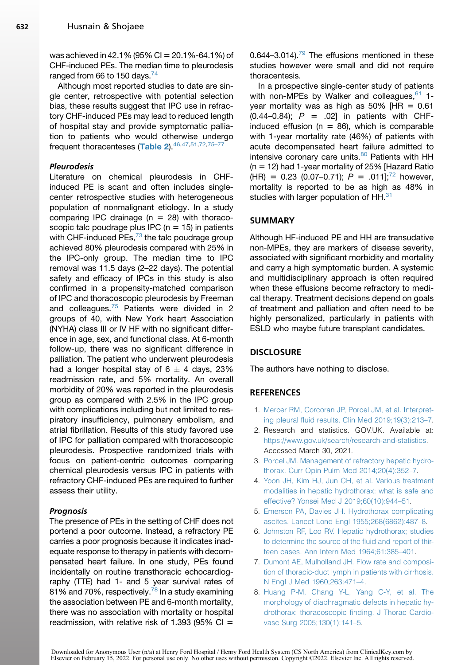was achieved in 42.1% (95% CI =  $20.1\%$ -64.1%) of CHF-induced PEs. The median time to pleurodesis ranged from 66 to 150 days.<sup>[74](#page-11-9)</sup>

Although most reported studies to date are single center, retrospective with potential selection bias, these results suggest that IPC use in refractory CHF-induced PEs may lead to reduced length of hospital stay and provide symptomatic palliation to patients who would otherwise undergo frequent thoracenteses ([Table 2](#page-7-0)). [46](#page-10-6), 47, 51, [72](#page-11-3), 75-77

#### Pleurodesis

Literature on chemical pleurodesis in CHFinduced PE is scant and often includes singlecenter retrospective studies with heterogeneous population of nonmalignant etiology. In a study comparing IPC drainage  $(n = 28)$  with thoracoscopic talc poudrage plus IPC ( $n = 15$ ) in patients with CHF-induced PEs, $^{73}$  $^{73}$  $^{73}$  the talc poudrage group achieved 80% pleurodesis compared with 25% in the IPC-only group. The median time to IPC removal was 11.5 days (2–22 days). The potential safety and efficacy of IPCs in this study is also confirmed in a propensity-matched comparison of IPC and thoracoscopic pleurodesis by Freeman and colleagues.<sup>[75](#page-11-10)</sup> Patients were divided in 2 groups of 40, with New York heart Association (NYHA) class III or IV HF with no significant difference in age, sex, and functional class. At 6-month follow-up, there was no significant difference in palliation. The patient who underwent pleurodesis had a longer hospital stay of  $6 \pm 4$  days, 23% readmission rate, and 5% mortality. An overall morbidity of 20% was reported in the pleurodesis group as compared with 2.5% in the IPC group with complications including but not limited to respiratory insufficiency, pulmonary embolism, and atrial fibrillation. Results of this study favored use of IPC for palliation compared with thoracoscopic pleurodesis. Prospective randomized trials with focus on patient-centric outcomes comparing chemical pleurodesis versus IPC in patients with refractory CHF-induced PEs are required to further assess their utility.

#### Prognosis

The presence of PEs in the setting of CHF does not portend a poor outcome. Instead, a refractory PE carries a poor prognosis because it indicates inadequate response to therapy in patients with decompensated heart failure. In one study, PEs found incidentally on routine transthoracic echocardiography (TTE) had 1- and 5 year survival rates of 81% and 70%, respectively.<sup>[78](#page-11-11)</sup> In a study examining the association between PE and 6-month mortality, there was no association with mortality or hospital readmission, with relative risk of 1.393 (95% CI =

0.644–3.014). $^{79}$  $^{79}$  $^{79}$  The effusions mentioned in these studies however were small and did not require thoracentesis.

In a prospective single-center study of patients with non-MPEs by Walker and colleagues,  $61$  1year mortality was as high as  $50\%$  [HR = 0.61  $(0.44 - 0.84);$   $P = .02$ ] in patients with CHFinduced effusion ( $n = 86$ ), which is comparable with 1-year mortality rate (46%) of patients with acute decompensated heart failure admitted to intensive coronary care units.<sup>[80](#page-11-13)</sup> Patients with HH  $(n = 12)$  had 1-year mortality of 25% [Hazard Ratio  $(HR) = 0.23$  (0.07–0.71);  $P = .011$ ];<sup>[72](#page-11-3)</sup> however, mortality is reported to be as high as 48% in studies with larger population of HH.<sup>[31](#page-9-21)</sup>

#### SUMMARY

Although HF-induced PE and HH are transudative non-MPEs, they are markers of disease severity, associated with significant morbidity and mortality and carry a high symptomatic burden. A systemic and multidisciplinary approach is often required when these effusions become refractory to medical therapy. Treatment decisions depend on goals of treatment and palliation and often need to be highly personalized, particularly in patients with ESLD who maybe future transplant candidates.

#### **DISCLOSURE**

The authors have nothing to disclose.

#### <span id="page-8-0"></span>**REFERENCES**

- <span id="page-8-1"></span>1. [Mercer RM, Corcoran JP, Porcel JM, et al. Interpret](http://refhub.elsevier.com/S0272-5231(21)01192-8/sref1)[ing pleural fluid results. Clin Med 2019;19\(3\):213–7.](http://refhub.elsevier.com/S0272-5231(21)01192-8/sref1)
- 2. Research and statistics. GOV.UK. Available at: [https://www.gov.uk/search/research-and-statistics.](https://www.gov.uk/search/research-and-statistics) Accessed March 30, 2021.
- <span id="page-8-3"></span><span id="page-8-2"></span>3. [Porcel JM. Management of refractory hepatic hydro](http://refhub.elsevier.com/S0272-5231(21)01192-8/sref3)[thorax. Curr Opin Pulm Med 2014;20\(4\):352–7.](http://refhub.elsevier.com/S0272-5231(21)01192-8/sref3)
- 4. [Yoon JH, Kim HJ, Jun CH, et al. Various treatment](http://refhub.elsevier.com/S0272-5231(21)01192-8/sref4) [modalities in hepatic hydrothorax: what is safe and](http://refhub.elsevier.com/S0272-5231(21)01192-8/sref4) [effective? Yonsei Med J 2019;60\(10\):944–51](http://refhub.elsevier.com/S0272-5231(21)01192-8/sref4).
- <span id="page-8-5"></span><span id="page-8-4"></span>5. [Emerson PA, Davies JH. Hydrothorax complicating](http://refhub.elsevier.com/S0272-5231(21)01192-8/sref5) [ascites. Lancet Lond Engl 1955;268\(6862\):487–8](http://refhub.elsevier.com/S0272-5231(21)01192-8/sref5).
- 6. [Johnston RF, Loo RV. Hepatic hydrothorax; studies](http://refhub.elsevier.com/S0272-5231(21)01192-8/sref6) [to determine the source of the fluid and report of thir](http://refhub.elsevier.com/S0272-5231(21)01192-8/sref6)[teen cases. Ann Intern Med 1964;61:385–401](http://refhub.elsevier.com/S0272-5231(21)01192-8/sref6).
- <span id="page-8-6"></span>7. [Dumont AE, Mulholland JH. Flow rate and composi](http://refhub.elsevier.com/S0272-5231(21)01192-8/sref7)[tion of thoracic-duct lymph in patients with cirrhosis.](http://refhub.elsevier.com/S0272-5231(21)01192-8/sref7) [N Engl J Med 1960;263:471–4.](http://refhub.elsevier.com/S0272-5231(21)01192-8/sref7)
- <span id="page-8-7"></span>8. [Huang P-M, Chang Y-L, Yang C-Y, et al. The](http://refhub.elsevier.com/S0272-5231(21)01192-8/sref8) [morphology of diaphragmatic defects in hepatic hy](http://refhub.elsevier.com/S0272-5231(21)01192-8/sref8)[drothorax: thoracoscopic finding. J Thorac Cardio](http://refhub.elsevier.com/S0272-5231(21)01192-8/sref8)[vasc Surg 2005;130\(1\):141–5](http://refhub.elsevier.com/S0272-5231(21)01192-8/sref8).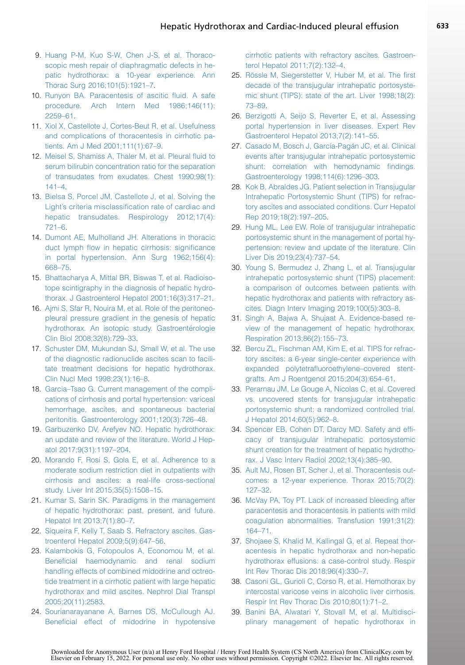- <span id="page-9-0"></span>9. [Huang P-M, Kuo S-W, Chen J-S, et al. Thoraco](http://refhub.elsevier.com/S0272-5231(21)01192-8/sref9)[scopic mesh repair of diaphragmatic defects in he](http://refhub.elsevier.com/S0272-5231(21)01192-8/sref9)[patic hydrothorax: a 10-year experience. Ann](http://refhub.elsevier.com/S0272-5231(21)01192-8/sref9) [Thorac Surg 2016;101\(5\):1921–7](http://refhub.elsevier.com/S0272-5231(21)01192-8/sref9).
- <span id="page-9-1"></span>10. [Runyon BA. Paracentesis of ascitic fluid. A safe](http://refhub.elsevier.com/S0272-5231(21)01192-8/sref10) [procedure. Arch Intern Med 1986;146\(11\):](http://refhub.elsevier.com/S0272-5231(21)01192-8/sref10) [2259–61.](http://refhub.elsevier.com/S0272-5231(21)01192-8/sref10)
- <span id="page-9-2"></span>11. [Xiol X, Castellote J, Cortes-Beut R, et al. Usefulness](http://refhub.elsevier.com/S0272-5231(21)01192-8/sref11) [and complications of thoracentesis in cirrhotic pa](http://refhub.elsevier.com/S0272-5231(21)01192-8/sref11)[tients. Am J Med 2001;111\(1\):67–9](http://refhub.elsevier.com/S0272-5231(21)01192-8/sref11).
- <span id="page-9-3"></span>12. [Meisel S, Shamiss A, Thaler M, et al. Pleural fluid to](http://refhub.elsevier.com/S0272-5231(21)01192-8/sref12) [serum bilirubin concentration ratio for the separation](http://refhub.elsevier.com/S0272-5231(21)01192-8/sref12) [of transudates from exudates. Chest 1990;98\(1\):](http://refhub.elsevier.com/S0272-5231(21)01192-8/sref12) [141–4](http://refhub.elsevier.com/S0272-5231(21)01192-8/sref12).
- <span id="page-9-4"></span>13. [Bielsa S, Porcel JM, Castellote J, et al. Solving the](http://refhub.elsevier.com/S0272-5231(21)01192-8/sref13) [Light's criteria misclassification rate of cardiac and](http://refhub.elsevier.com/S0272-5231(21)01192-8/sref13) [hepatic transudates. Respirology 2012;17\(4\):](http://refhub.elsevier.com/S0272-5231(21)01192-8/sref13) [721–6.](http://refhub.elsevier.com/S0272-5231(21)01192-8/sref13)
- <span id="page-9-5"></span>14. [Dumont AE, Mulholland JH. Alterations in thoracic](http://refhub.elsevier.com/S0272-5231(21)01192-8/sref14) [duct lymph flow in hepatic cirrhosis: significance](http://refhub.elsevier.com/S0272-5231(21)01192-8/sref14) [in portal hypertension. Ann Surg 1962;156\(4\):](http://refhub.elsevier.com/S0272-5231(21)01192-8/sref14) [668–75](http://refhub.elsevier.com/S0272-5231(21)01192-8/sref14).
- <span id="page-9-6"></span>15. [Bhattacharya A, Mittal BR, Biswas T, et al. Radioiso](http://refhub.elsevier.com/S0272-5231(21)01192-8/sref15)[tope scintigraphy in the diagnosis of hepatic hydro](http://refhub.elsevier.com/S0272-5231(21)01192-8/sref15)[thorax. J Gastroenterol Hepatol 2001;16\(3\):317–21.](http://refhub.elsevier.com/S0272-5231(21)01192-8/sref15)
- <span id="page-9-7"></span>16. [Ajmi S, Sfar R, Nouira M, et al. Role of the peritoneo](http://refhub.elsevier.com/S0272-5231(21)01192-8/sref16)[pleural pressure gradient in the genesis of hepatic](http://refhub.elsevier.com/S0272-5231(21)01192-8/sref16) hydrothorax. An isotopic study. Gastroentérologie [Clin Biol 2008;32\(8\):729–33](http://refhub.elsevier.com/S0272-5231(21)01192-8/sref16).
- <span id="page-9-8"></span>17. [Schuster DM, Mukundan SJ, Small W, et al. The use](http://refhub.elsevier.com/S0272-5231(21)01192-8/sref17) [of the diagnostic radionuclide ascites scan to facili](http://refhub.elsevier.com/S0272-5231(21)01192-8/sref17)[tate treatment decisions for hepatic hydrothorax.](http://refhub.elsevier.com/S0272-5231(21)01192-8/sref17) [Clin Nucl Med 1998;23\(1\):16–8](http://refhub.elsevier.com/S0272-5231(21)01192-8/sref17).
- <span id="page-9-9"></span>18. [Garcia–Tsao G. Current management of the compli](http://refhub.elsevier.com/S0272-5231(21)01192-8/sref18)[cations of cirrhosis and portal hypertension: variceal](http://refhub.elsevier.com/S0272-5231(21)01192-8/sref18) [hemorrhage, ascites, and spontaneous bacterial](http://refhub.elsevier.com/S0272-5231(21)01192-8/sref18) [peritonitis. Gastroenterology 2001;120\(3\):726–48.](http://refhub.elsevier.com/S0272-5231(21)01192-8/sref18)
- <span id="page-9-10"></span>19. [Garbuzenko DV, Arefyev NO. Hepatic hydrothorax:](http://refhub.elsevier.com/S0272-5231(21)01192-8/sref19) [an update and review of the literature. World J Hep](http://refhub.elsevier.com/S0272-5231(21)01192-8/sref19)[atol 2017;9\(31\):1197–204](http://refhub.elsevier.com/S0272-5231(21)01192-8/sref19).
- <span id="page-9-11"></span>20. [Morando F, Rosi S, Gola E, et al. Adherence to a](http://refhub.elsevier.com/S0272-5231(21)01192-8/sref20) [moderate sodium restriction diet in outpatients with](http://refhub.elsevier.com/S0272-5231(21)01192-8/sref20) [cirrhosis and ascites: a real-life cross-sectional](http://refhub.elsevier.com/S0272-5231(21)01192-8/sref20) [study. Liver Int 2015;35\(5\):1508–15.](http://refhub.elsevier.com/S0272-5231(21)01192-8/sref20)
- <span id="page-9-12"></span>21. [Kumar S, Sarin SK. Paradigms in the management](http://refhub.elsevier.com/S0272-5231(21)01192-8/sref21) [of hepatic hydrothorax: past, present, and future.](http://refhub.elsevier.com/S0272-5231(21)01192-8/sref21) [Hepatol Int 2013;7\(1\):80–7](http://refhub.elsevier.com/S0272-5231(21)01192-8/sref21).
- <span id="page-9-13"></span>22. [Siqueira F, Kelly T, Saab S. Refractory ascites. Gas](http://refhub.elsevier.com/S0272-5231(21)01192-8/sref22)[troenterol Hepatol 2009;5\(9\):647–56](http://refhub.elsevier.com/S0272-5231(21)01192-8/sref22).
- <span id="page-9-14"></span>23. [Kalambokis G, Fotopoulos A, Economou M, et al.](http://refhub.elsevier.com/S0272-5231(21)01192-8/sref23) [Beneficial haemodynamic and renal sodium](http://refhub.elsevier.com/S0272-5231(21)01192-8/sref23) [handling effects of combined midodrine and octreo](http://refhub.elsevier.com/S0272-5231(21)01192-8/sref23)[tide treatment in a cirrhotic patient with large hepatic](http://refhub.elsevier.com/S0272-5231(21)01192-8/sref23) [hydrothorax and mild ascites. Nephrol Dial Transpl](http://refhub.elsevier.com/S0272-5231(21)01192-8/sref23) [2005;20\(11\):2583](http://refhub.elsevier.com/S0272-5231(21)01192-8/sref23).
- 24. [Sourianarayanane A, Barnes DS, McCullough AJ.](http://refhub.elsevier.com/S0272-5231(21)01192-8/sref24) [Beneficial effect of midodrine in hypotensive](http://refhub.elsevier.com/S0272-5231(21)01192-8/sref24)

[cirrhotic patients with refractory ascites. Gastroen](http://refhub.elsevier.com/S0272-5231(21)01192-8/sref24)[terol Hepatol 2011;7\(2\):132–4](http://refhub.elsevier.com/S0272-5231(21)01192-8/sref24).

- <span id="page-9-17"></span>25. Rössle M, Siegerstetter V, Huber M, et al. The first [decade of the transjugular intrahepatic portosyste](http://refhub.elsevier.com/S0272-5231(21)01192-8/sref25)[mic shunt \(TIPS\): state of the art. Liver 1998;18\(2\):](http://refhub.elsevier.com/S0272-5231(21)01192-8/sref25) [73–89.](http://refhub.elsevier.com/S0272-5231(21)01192-8/sref25)
- <span id="page-9-15"></span>26. [Berzigotti A, Seijo S, Reverter E, et al. Assessing](http://refhub.elsevier.com/S0272-5231(21)01192-8/sref26) [portal hypertension in liver diseases. Expert Rev](http://refhub.elsevier.com/S0272-5231(21)01192-8/sref26) [Gastroenterol Hepatol 2013;7\(2\):141–55.](http://refhub.elsevier.com/S0272-5231(21)01192-8/sref26)
- <span id="page-9-16"></span>27. Casado M. Bosch J. García-Pagán JC, et al. Clinical [events after transjugular intrahepatic portosystemic](http://refhub.elsevier.com/S0272-5231(21)01192-8/sref27) [shunt: correlation with hemodynamic findings.](http://refhub.elsevier.com/S0272-5231(21)01192-8/sref27) [Gastroenterology 1998;114\(6\):1296–303](http://refhub.elsevier.com/S0272-5231(21)01192-8/sref27).
- <span id="page-9-18"></span>28. [Kok B, Abraldes JG. Patient selection in Transjugular](http://refhub.elsevier.com/S0272-5231(21)01192-8/sref28) [Intrahepatic Portosystemic Shunt \(TIPS\) for refrac](http://refhub.elsevier.com/S0272-5231(21)01192-8/sref28)[tory ascites and associated conditions. Curr Hepatol](http://refhub.elsevier.com/S0272-5231(21)01192-8/sref28) [Rep 2019;18\(2\):197–205](http://refhub.elsevier.com/S0272-5231(21)01192-8/sref28).
- <span id="page-9-19"></span>29. [Hung ML, Lee EW. Role of transjugular intrahepatic](http://refhub.elsevier.com/S0272-5231(21)01192-8/sref29) [portosystemic shunt in the management of portal hy](http://refhub.elsevier.com/S0272-5231(21)01192-8/sref29)[pertension: review and update of the literature. Clin](http://refhub.elsevier.com/S0272-5231(21)01192-8/sref29) [Liver Dis 2019;23\(4\):737–54](http://refhub.elsevier.com/S0272-5231(21)01192-8/sref29).
- <span id="page-9-20"></span>30. [Young S, Bermudez J, Zhang L, et al. Transjugular](http://refhub.elsevier.com/S0272-5231(21)01192-8/sref30) [intrahepatic portosystemic shunt \(TIPS\) placement:](http://refhub.elsevier.com/S0272-5231(21)01192-8/sref30) [a comparison of outcomes between patients with](http://refhub.elsevier.com/S0272-5231(21)01192-8/sref30) [hepatic hydrothorax and patients with refractory as](http://refhub.elsevier.com/S0272-5231(21)01192-8/sref30)[cites. Diagn Interv Imaging 2019;100\(5\):303–8](http://refhub.elsevier.com/S0272-5231(21)01192-8/sref30).
- <span id="page-9-21"></span>31. [Singh A, Bajwa A, Shujaat A. Evidence-based re](http://refhub.elsevier.com/S0272-5231(21)01192-8/sref31)[view of the management of hepatic hydrothorax.](http://refhub.elsevier.com/S0272-5231(21)01192-8/sref31) [Respiration 2013;86\(2\):155–73](http://refhub.elsevier.com/S0272-5231(21)01192-8/sref31).
- <span id="page-9-22"></span>32. [Bercu ZL, Fischman AM, Kim E, et al. TIPS for refrac](http://refhub.elsevier.com/S0272-5231(21)01192-8/sref32)[tory ascites: a 6-year single-center experience with](http://refhub.elsevier.com/S0272-5231(21)01192-8/sref32) [expanded polytetrafluoroethylene–covered stent](http://refhub.elsevier.com/S0272-5231(21)01192-8/sref32)[grafts. Am J Roentgenol 2015;204\(3\):654–61](http://refhub.elsevier.com/S0272-5231(21)01192-8/sref32).
- 33. [Perarnau JM, Le Gouge A, Nicolas C, et al. Covered](http://refhub.elsevier.com/S0272-5231(21)01192-8/sref33) [vs. uncovered stents for transjugular intrahepatic](http://refhub.elsevier.com/S0272-5231(21)01192-8/sref33) [portosystemic shunt: a randomized controlled trial.](http://refhub.elsevier.com/S0272-5231(21)01192-8/sref33) [J Hepatol 2014;60\(5\):962–8](http://refhub.elsevier.com/S0272-5231(21)01192-8/sref33).
- 34. [Spencer EB, Cohen DT, Darcy MD. Safety and effi](http://refhub.elsevier.com/S0272-5231(21)01192-8/sref34)[cacy of transjugular intrahepatic portosystemic](http://refhub.elsevier.com/S0272-5231(21)01192-8/sref34) [shunt creation for the treatment of hepatic hydrotho](http://refhub.elsevier.com/S0272-5231(21)01192-8/sref34)[rax. J Vasc Interv Radiol 2002;13\(4\):385–90](http://refhub.elsevier.com/S0272-5231(21)01192-8/sref34).
- <span id="page-9-23"></span>35. [Ault MJ, Rosen BT, Scher J, et al. Thoracentesis out](http://refhub.elsevier.com/S0272-5231(21)01192-8/sref35)[comes: a 12-year experience. Thorax 2015;70\(2\):](http://refhub.elsevier.com/S0272-5231(21)01192-8/sref35) [127–32.](http://refhub.elsevier.com/S0272-5231(21)01192-8/sref35)
- <span id="page-9-24"></span>36. [McVay PA, Toy PT. Lack of increased bleeding after](http://refhub.elsevier.com/S0272-5231(21)01192-8/sref36) [paracentesis and thoracentesis in patients with mild](http://refhub.elsevier.com/S0272-5231(21)01192-8/sref36) [coagulation abnormalities. Transfusion 1991;31\(2\):](http://refhub.elsevier.com/S0272-5231(21)01192-8/sref36) [164–71.](http://refhub.elsevier.com/S0272-5231(21)01192-8/sref36)
- <span id="page-9-25"></span>37. [Shojaee S, Khalid M, Kallingal G, et al. Repeat thor](http://refhub.elsevier.com/S0272-5231(21)01192-8/sref37)[acentesis in hepatic hydrothorax and non-hepatic](http://refhub.elsevier.com/S0272-5231(21)01192-8/sref37) [hydrothorax effusions: a case-control study. Respir](http://refhub.elsevier.com/S0272-5231(21)01192-8/sref37) [Int Rev Thorac Dis 2018;96\(4\):330–7](http://refhub.elsevier.com/S0272-5231(21)01192-8/sref37).
- <span id="page-9-26"></span>38. [Casoni GL, Gurioli C, Corso R, et al. Hemothorax by](http://refhub.elsevier.com/S0272-5231(21)01192-8/sref38) [intercostal varicose veins in alcoholic liver cirrhosis.](http://refhub.elsevier.com/S0272-5231(21)01192-8/sref38) [Respir Int Rev Thorac Dis 2010;80\(1\):71–2](http://refhub.elsevier.com/S0272-5231(21)01192-8/sref38).
- <span id="page-9-27"></span>39. [Banini BA, Alwatari Y, Stovall M, et al. Multidisci](http://refhub.elsevier.com/S0272-5231(21)01192-8/sref39)[plinary management of hepatic hydrothorax in](http://refhub.elsevier.com/S0272-5231(21)01192-8/sref39)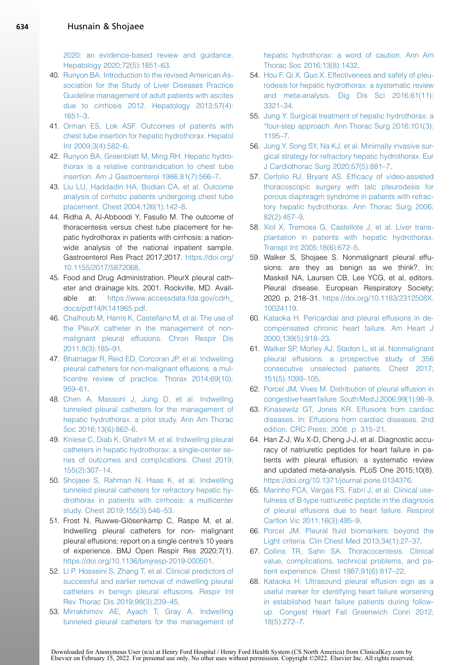<span id="page-10-31"></span>[2020: an evidence-based review and guidance.](http://refhub.elsevier.com/S0272-5231(21)01192-8/sref39) [Hepatology 2020;72\(5\):1851–63](http://refhub.elsevier.com/S0272-5231(21)01192-8/sref39).

- <span id="page-10-0"></span>40. [Runyon BA. Introduction to the revised American As](http://refhub.elsevier.com/S0272-5231(21)01192-8/sref40)[sociation for the Study of Liver Diseases Practice](http://refhub.elsevier.com/S0272-5231(21)01192-8/sref40) [Guideline management of adult patients with ascites](http://refhub.elsevier.com/S0272-5231(21)01192-8/sref40) [due to cirrhosis 2012. Hepatology 2013;57\(4\):](http://refhub.elsevier.com/S0272-5231(21)01192-8/sref40) [1651–3.](http://refhub.elsevier.com/S0272-5231(21)01192-8/sref40)
- <span id="page-10-1"></span>41. [Orman ES, Lok ASF. Outcomes of patients with](http://refhub.elsevier.com/S0272-5231(21)01192-8/sref41) [chest tube insertion for hepatic hydrothorax. Hepatol](http://refhub.elsevier.com/S0272-5231(21)01192-8/sref41) [Int 2009;3\(4\):582–6.](http://refhub.elsevier.com/S0272-5231(21)01192-8/sref41)
- <span id="page-10-2"></span>42. [Runyon BA, Greenblatt M, Ming RH. Hepatic hydro](http://refhub.elsevier.com/S0272-5231(21)01192-8/sref42)[thorax is a relative contraindication to chest tube](http://refhub.elsevier.com/S0272-5231(21)01192-8/sref42) [insertion. Am J Gastroenterol 1986;81\(7\):566–7](http://refhub.elsevier.com/S0272-5231(21)01192-8/sref42).
- <span id="page-10-3"></span>43. [Liu LU, Haddadin HA, Bodian CA, et al. Outcome](http://refhub.elsevier.com/S0272-5231(21)01192-8/sref43) [analysis of cirrhotic patients undergoing chest tube](http://refhub.elsevier.com/S0272-5231(21)01192-8/sref43) [placement. Chest 2004;126\(1\):142–8.](http://refhub.elsevier.com/S0272-5231(21)01192-8/sref43)
- <span id="page-10-4"></span>44. Ridha A, Al-Abboodi Y, Fasullo M. The outcome of thoracentesis versus chest tube placement for hepatic hydrothorax in patients with cirrhosis: a nationwide analysis of the national inpatient sample. Gastroenterol Res Pract 2017;2017. [https://doi.org/](https://doi.org/10.1155/2017/5872068) [10.1155/2017/5872068.](https://doi.org/10.1155/2017/5872068)
- <span id="page-10-5"></span>45. Food and Drug Administration. PleurX pleural catheter and drainage kits. 2001. Rockville, MD. Available at: [https://www.accessdata.fda.gov/cdrh\\_](https://www.accessdata.fda.gov/cdrh_docs/pdf14/K141965.pdf) [docs/pdf14/K141965.pdf](https://www.accessdata.fda.gov/cdrh_docs/pdf14/K141965.pdf).
- <span id="page-10-6"></span>46. [Chalhoub M, Harris K, Castellano M, et al. The use of](http://refhub.elsevier.com/S0272-5231(21)01192-8/sref46) [the PleurX catheter in the management of non](http://refhub.elsevier.com/S0272-5231(21)01192-8/sref46)[malignant pleural effusions. Chron Respir Dis](http://refhub.elsevier.com/S0272-5231(21)01192-8/sref46) [2011;8\(3\):185–91.](http://refhub.elsevier.com/S0272-5231(21)01192-8/sref46)
- <span id="page-10-10"></span>47. [Bhatnagar R, Reid ED, Corcoran JP, et al. Indwelling](http://refhub.elsevier.com/S0272-5231(21)01192-8/sref47) [pleural catheters for non-malignant effusions: a mul](http://refhub.elsevier.com/S0272-5231(21)01192-8/sref47)[ticentre review of practice. Thorax 2014;69\(10\):](http://refhub.elsevier.com/S0272-5231(21)01192-8/sref47) [959–61.](http://refhub.elsevier.com/S0272-5231(21)01192-8/sref47)
- <span id="page-10-11"></span>48. [Chen A, Massoni J, Jung D, et al. Indwelling](http://refhub.elsevier.com/S0272-5231(21)01192-8/sref48) [tunneled pleural catheters for the management of](http://refhub.elsevier.com/S0272-5231(21)01192-8/sref48) [hepatic hydrothorax. a pilot study. Ann Am Thorac](http://refhub.elsevier.com/S0272-5231(21)01192-8/sref48) [Soc 2016;13\(6\):862–6](http://refhub.elsevier.com/S0272-5231(21)01192-8/sref48).
- <span id="page-10-12"></span>49. [Kniese C, Diab K, Ghabril M, et al. Indwelling pleural](http://refhub.elsevier.com/S0272-5231(21)01192-8/sref49) [catheters in hepatic hydrothorax: a single-center se](http://refhub.elsevier.com/S0272-5231(21)01192-8/sref49)[ries of outcomes and complications. Chest 2019;](http://refhub.elsevier.com/S0272-5231(21)01192-8/sref49) [155\(2\):307–14.](http://refhub.elsevier.com/S0272-5231(21)01192-8/sref49)
- <span id="page-10-7"></span>50. [Shojaee S, Rahman N, Haas K, et al. Indwelling](http://refhub.elsevier.com/S0272-5231(21)01192-8/sref50) [tunneled pleural catheters for refractory hepatic hy](http://refhub.elsevier.com/S0272-5231(21)01192-8/sref50)[drothorax in patients with cirrhosis: a multicenter](http://refhub.elsevier.com/S0272-5231(21)01192-8/sref50) [study. Chest 2019;155\(3\):546–53.](http://refhub.elsevier.com/S0272-5231(21)01192-8/sref50)
- <span id="page-10-13"></span>51. Frost N, Ruwwe-Glösenkamp C, Raspe M, et al. Indwelling pleural catheters for non- malignant pleural effusions: report on a single centre's 10 years of experience. BMJ Open Respir Res 2020;7(1). [https://doi.org/10.1136/bmjresp-2019-000501.](https://doi.org/10.1136/bmjresp-2019-000501)
- <span id="page-10-14"></span>52. [Li P, Hosseini S, Zhang T, et al. Clinical predictors of](http://refhub.elsevier.com/S0272-5231(21)01192-8/sref52) [successful and earlier removal of indwelling pleural](http://refhub.elsevier.com/S0272-5231(21)01192-8/sref52) [catheters in benign pleural effusions. Respir Int](http://refhub.elsevier.com/S0272-5231(21)01192-8/sref52) [Rev Thorac Dis 2019;98\(3\):239–45.](http://refhub.elsevier.com/S0272-5231(21)01192-8/sref52)
- <span id="page-10-8"></span>53. [Mirrakhimov AE, Ayach T, Gray A. Indwelling](http://refhub.elsevier.com/S0272-5231(21)01192-8/sref53) [tunneled pleural catheters for the management of](http://refhub.elsevier.com/S0272-5231(21)01192-8/sref53)

<span id="page-10-30"></span><span id="page-10-29"></span>[hepatic hydrothorax: a word of caution. Ann Am](http://refhub.elsevier.com/S0272-5231(21)01192-8/sref53) [Thorac Soc 2016;13\(8\):1432](http://refhub.elsevier.com/S0272-5231(21)01192-8/sref53).

- <span id="page-10-9"></span>54. [Hou F, Qi X, Guo X. Effectiveness and safety of pleu](http://refhub.elsevier.com/S0272-5231(21)01192-8/sref54)[rodesis for hepatic hydrothorax: a systematic review](http://refhub.elsevier.com/S0272-5231(21)01192-8/sref54) [and meta-analysis. Dig Dis Sci 2016;61\(11\):](http://refhub.elsevier.com/S0272-5231(21)01192-8/sref54) [3321–34](http://refhub.elsevier.com/S0272-5231(21)01192-8/sref54).
- <span id="page-10-15"></span>55. [Jung Y. Surgical treatment of hepatic hydrothorax: a](http://refhub.elsevier.com/S0272-5231(21)01192-8/sref55) ["four-step approach. Ann Thorac Surg 2016;101\(3\):](http://refhub.elsevier.com/S0272-5231(21)01192-8/sref55) [1195–7.](http://refhub.elsevier.com/S0272-5231(21)01192-8/sref55)
- <span id="page-10-16"></span>56. [Jung Y, Song SY, Na KJ, et al. Minimally invasive sur](http://refhub.elsevier.com/S0272-5231(21)01192-8/sref56)[gical strategy for refractory hepatic hydrothorax. Eur](http://refhub.elsevier.com/S0272-5231(21)01192-8/sref56) [J Cardiothorac Surg 2020;57\(5\):881–7.](http://refhub.elsevier.com/S0272-5231(21)01192-8/sref56)
- <span id="page-10-17"></span>57. [Cerfolio RJ, Bryant AS. Efficacy of video-assisted](http://refhub.elsevier.com/S0272-5231(21)01192-8/sref57) [thoracoscopic surgery with talc pleurodesis for](http://refhub.elsevier.com/S0272-5231(21)01192-8/sref57) [porous diaphragm syndrome in patients with refrac](http://refhub.elsevier.com/S0272-5231(21)01192-8/sref57)[tory hepatic hydrothorax. Ann Thorac Surg 2006;](http://refhub.elsevier.com/S0272-5231(21)01192-8/sref57) [82\(2\):457–9](http://refhub.elsevier.com/S0272-5231(21)01192-8/sref57).
- <span id="page-10-18"></span>58. [Xiol X, Tremosa G, Castellote J, et al. Liver trans](http://refhub.elsevier.com/S0272-5231(21)01192-8/sref59)[plantation in patients with hepatic hydrothorax.](http://refhub.elsevier.com/S0272-5231(21)01192-8/sref59) [Transpl Int 2005;18\(6\):672–5.](http://refhub.elsevier.com/S0272-5231(21)01192-8/sref59)
- <span id="page-10-19"></span>59. Walker S, Shojaee S. Nonmalignant pleural effusions: are they as benign as we think?. In: Maskell NA, Laursen CB, Lee YCG, et al, editors. Pleural disease. European Respiratory Society; 2020. p. 218–31. [https://doi.org/10.1183/2312508X.](https://doi.org/10.1183/2312508X.10024119) [10024119.](https://doi.org/10.1183/2312508X.10024119)
- <span id="page-10-20"></span>60. [Kataoka H. Pericardial and pleural effusions in de](http://refhub.elsevier.com/S0272-5231(21)01192-8/sref61)[compensated chronic heart failure. Am Heart J](http://refhub.elsevier.com/S0272-5231(21)01192-8/sref61) [2000;139\(5\):918–23.](http://refhub.elsevier.com/S0272-5231(21)01192-8/sref61)
- <span id="page-10-21"></span>61. [Walker SP, Morley AJ, Stadon L, et al. Nonmalignant](http://refhub.elsevier.com/S0272-5231(21)01192-8/sref62) [pleural effusions: a prospective study of 356](http://refhub.elsevier.com/S0272-5231(21)01192-8/sref62) [consecutive unselected patients. Chest 2017;](http://refhub.elsevier.com/S0272-5231(21)01192-8/sref62) [151\(5\):1099–105.](http://refhub.elsevier.com/S0272-5231(21)01192-8/sref62)
- <span id="page-10-22"></span>62. [Porcel JM, Vives M. Distribution of pleural effusion in](http://refhub.elsevier.com/S0272-5231(21)01192-8/sref63) [congestive heart failure. South Med J 2006;99\(1\):98–9.](http://refhub.elsevier.com/S0272-5231(21)01192-8/sref63)
- <span id="page-10-23"></span>63. [Kinasewitz GT, Jones KR. Effusions from cardiac](http://refhub.elsevier.com/S0272-5231(21)01192-8/sref64) [diseases. In: Effusions from cardiac diseases. 2nd](http://refhub.elsevier.com/S0272-5231(21)01192-8/sref64) [edition. CRC Press; 2008. p. 315–21.](http://refhub.elsevier.com/S0272-5231(21)01192-8/sref64)
- <span id="page-10-24"></span>64. Han Z-J, Wu X-D, Cheng J-J, et al. Diagnostic accuracy of natriuretic peptides for heart failure in patients with pleural effusion: a systematic review and updated meta-analysis. PLoS One 2015;10(8). <https://doi.org/10.1371/journal.pone.0134376>.
- <span id="page-10-25"></span>65. [Marinho FCA, Vargas FS, Fabri J, et al. Clinical use](http://refhub.elsevier.com/S0272-5231(21)01192-8/sref66)[fulness of B-type natriuretic peptide in the diagnosis](http://refhub.elsevier.com/S0272-5231(21)01192-8/sref66) [of pleural effusions due to heart failure. Respirol](http://refhub.elsevier.com/S0272-5231(21)01192-8/sref66) [Carlton Vic 2011;16\(3\):495–9.](http://refhub.elsevier.com/S0272-5231(21)01192-8/sref66)
- <span id="page-10-26"></span>66. [Porcel JM. Pleural fluid biomarkers: beyond the](http://refhub.elsevier.com/S0272-5231(21)01192-8/sref67) [Light criteria. Clin Chest Med 2013;34\(1\):27–37](http://refhub.elsevier.com/S0272-5231(21)01192-8/sref67).
- <span id="page-10-27"></span>67. [Collins TR, Sahn SA. Thoracocentesis. Clinical](http://refhub.elsevier.com/S0272-5231(21)01192-8/sref68) [value, complications, technical problems, and pa](http://refhub.elsevier.com/S0272-5231(21)01192-8/sref68)[tient experience. Chest 1987;91\(6\):817–22.](http://refhub.elsevier.com/S0272-5231(21)01192-8/sref68)
- <span id="page-10-28"></span>68. [Kataoka H. Ultrasound pleural effusion sign as a](http://refhub.elsevier.com/S0272-5231(21)01192-8/sref69) [useful marker for identifying heart failure worsening](http://refhub.elsevier.com/S0272-5231(21)01192-8/sref69) [in established heart failure patients during follow](http://refhub.elsevier.com/S0272-5231(21)01192-8/sref69)[up. Congest Heart Fail Greenwich Conn 2012;](http://refhub.elsevier.com/S0272-5231(21)01192-8/sref69) [18\(5\):272–7](http://refhub.elsevier.com/S0272-5231(21)01192-8/sref69).